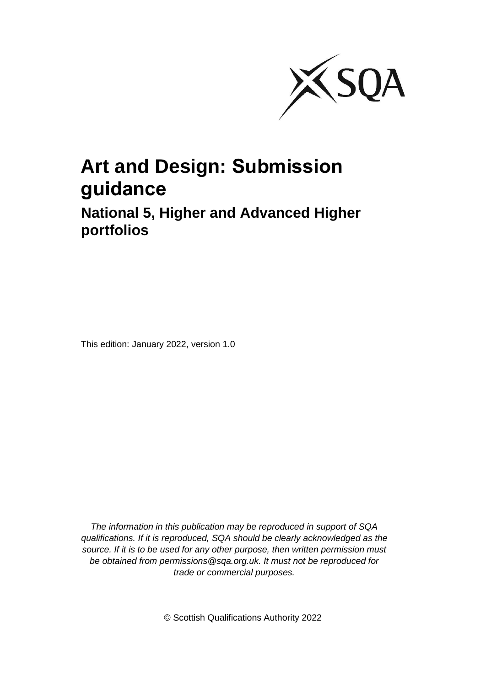

# **Art and Design: Submission guidance**

### **National 5, Higher and Advanced Higher portfolios**

This edition: January 2022, version 1.0

*The information in this publication may be reproduced in support of SQA qualifications. If it is reproduced, SQA should be clearly acknowledged as the source. If it is to be used for any other purpose, then written permission must be obtained from permissions@sqa.org.uk. It must not be reproduced for trade or commercial purposes.*

© Scottish Qualifications Authority 2022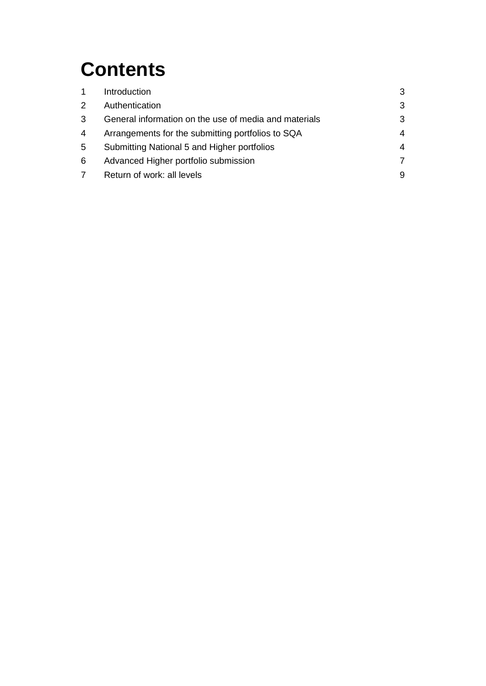# **Contents**

| 1              | Introduction                                          | 3 |
|----------------|-------------------------------------------------------|---|
| $\mathbf{2}$   | Authentication                                        | 3 |
| 3              | General information on the use of media and materials | 3 |
| 4              | Arrangements for the submitting portfolios to SQA     | 4 |
| 5              | Submitting National 5 and Higher portfolios           | 4 |
| 6              | Advanced Higher portfolio submission                  | 7 |
| $\overline{7}$ | Return of work: all levels                            | 9 |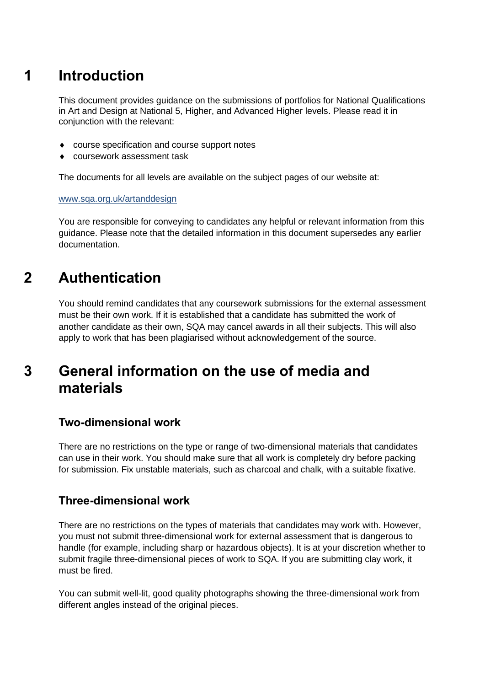# **1 Introduction**

This document provides guidance on the submissions of portfolios for National Qualifications in Art and Design at National 5, Higher, and Advanced Higher levels. Please read it in conjunction with the relevant:

- course specification and course support notes
- coursework assessment task

The documents for all levels are available on the subject pages of our website at:

[www.sqa.org.uk/artanddesign](https://www.sqa.org.uk/sqa/45707.html)

You are responsible for conveying to candidates any helpful or relevant information from this guidance. Please note that the detailed information in this document supersedes any earlier documentation.

## **2 Authentication**

You should remind candidates that any coursework submissions for the external assessment must be their own work. If it is established that a candidate has submitted the work of another candidate as their own, SQA may cancel awards in all their subjects. This will also apply to work that has been plagiarised without acknowledgement of the source.

### **3 General information on the use of media and materials**

#### **Two-dimensional work**

There are no restrictions on the type or range of two-dimensional materials that candidates can use in their work. You should make sure that all work is completely dry before packing for submission. Fix unstable materials, such as charcoal and chalk, with a suitable fixative.

#### **Three-dimensional work**

There are no restrictions on the types of materials that candidates may work with. However, you must not submit three-dimensional work for external assessment that is dangerous to handle (for example, including sharp or hazardous objects). It is at your discretion whether to submit fragile three-dimensional pieces of work to SQA. If you are submitting clay work, it must be fired.

You can submit well-lit, good quality photographs showing the three-dimensional work from different angles instead of the original pieces.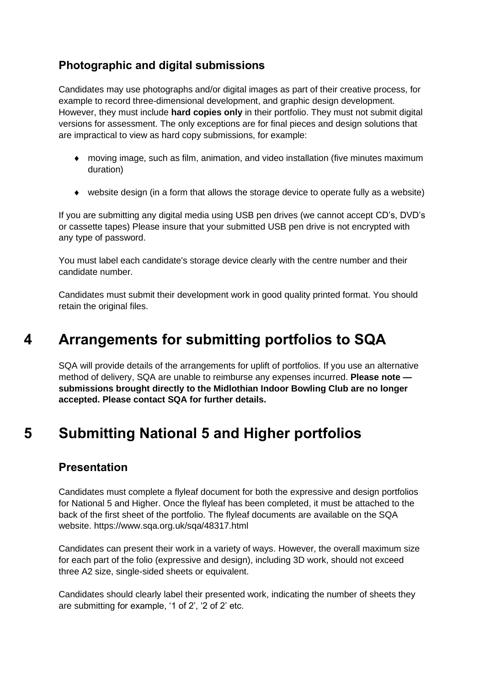#### **Photographic and digital submissions**

Candidates may use photographs and/or digital images as part of their creative process, for example to record three-dimensional development, and graphic design development. However, they must include **hard copies only** in their portfolio. They must not submit digital versions for assessment. The only exceptions are for final pieces and design solutions that are impractical to view as hard copy submissions, for example:

- moving image, such as film, animation, and video installation (five minutes maximum duration)
- website design (in a form that allows the storage device to operate fully as a website)

If you are submitting any digital media using USB pen drives (we cannot accept CD's, DVD's or cassette tapes) Please insure that your submitted USB pen drive is not encrypted with any type of password.

You must label each candidate's storage device clearly with the centre number and their candidate number.

Candidates must submit their development work in good quality printed format. You should retain the original files.

## **4 Arrangements for submitting portfolios to SQA**

SQA will provide details of the arrangements for uplift of portfolios. If you use an alternative method of delivery, SQA are unable to reimburse any expenses incurred. **Please note submissions brought directly to the Midlothian Indoor Bowling Club are no longer accepted. Please contact SQA for further details.**

## **5 Submitting National 5 and Higher portfolios**

#### **Presentation**

Candidates must complete a flyleaf document for both the expressive and design portfolios for National 5 and Higher. Once the flyleaf has been completed, it must be attached to the back of the first sheet of the portfolio. The flyleaf documents are available on the SQA website. https://www.sqa.org.uk/sqa/48317.html

Candidates can present their work in a variety of ways. However, the overall maximum size for each part of the folio (expressive and design), including 3D work, should not exceed three A2 size, single-sided sheets or equivalent.

Candidates should clearly label their presented work, indicating the number of sheets they are submitting for example, '1 of 2', '2 of 2' etc.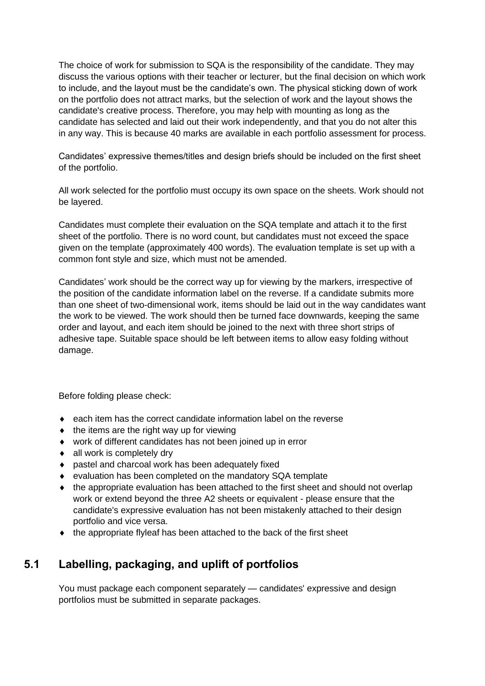The choice of work for submission to SQA is the responsibility of the candidate. They may discuss the various options with their teacher or lecturer, but the final decision on which work to include, and the layout must be the candidate's own. The physical sticking down of work on the portfolio does not attract marks, but the selection of work and the layout shows the candidate's creative process. Therefore, you may help with mounting as long as the candidate has selected and laid out their work independently, and that you do not alter this in any way. This is because 40 marks are available in each portfolio assessment for process.

Candidates' expressive themes/titles and design briefs should be included on the first sheet of the portfolio.

All work selected for the portfolio must occupy its own space on the sheets. Work should not be layered.

Candidates must complete their evaluation on the SQA template and attach it to the first sheet of the portfolio. There is no word count, but candidates must not exceed the space given on the template (approximately 400 words). The evaluation template is set up with a common font style and size, which must not be amended.

Candidates' work should be the correct way up for viewing by the markers, irrespective of the position of the candidate information label on the reverse. If a candidate submits more than one sheet of two-dimensional work, items should be laid out in the way candidates want the work to be viewed. The work should then be turned face downwards, keeping the same order and layout, and each item should be joined to the next with three short strips of adhesive tape. Suitable space should be left between items to allow easy folding without damage.

Before folding please check:

- each item has the correct candidate information label on the reverse
- $\bullet$  the items are the right way up for viewing
- work of different candidates has not been joined up in error
- all work is completely dry
- ◆ pastel and charcoal work has been adequately fixed
- evaluation has been completed on the mandatory SQA template
- the appropriate evaluation has been attached to the first sheet and should not overlap work or extend beyond the three A2 sheets or equivalent - please ensure that the candidate's expressive evaluation has not been mistakenly attached to their design portfolio and vice versa.
- the appropriate flyleaf has been attached to the back of the first sheet

#### **5.1 Labelling, packaging, and uplift of portfolios**

You must package each component separately — candidates' expressive and design portfolios must be submitted in separate packages.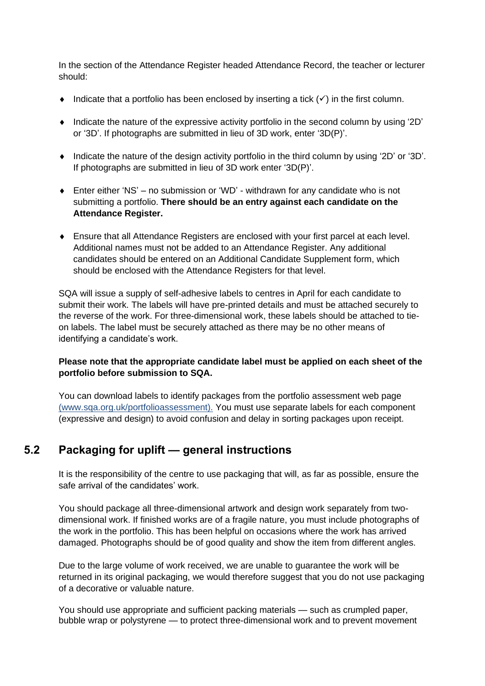In the section of the Attendance Register headed Attendance Record, the teacher or lecturer should:

- Indicate that a portfolio has been enclosed by inserting a tick  $(\checkmark)$  in the first column.
- $\bullet$  Indicate the nature of the expressive activity portfolio in the second column by using '2D' or '3D'. If photographs are submitted in lieu of 3D work, enter '3D(P)'.
- Indicate the nature of the design activity portfolio in the third column by using '2D' or '3D'. If photographs are submitted in lieu of 3D work enter '3D(P)'.
- Enter either 'NS' no submission or 'WD' withdrawn for any candidate who is not submitting a portfolio. **There should be an entry against each candidate on the Attendance Register.**
- Ensure that all Attendance Registers are enclosed with your first parcel at each level. Additional names must not be added to an Attendance Register. Any additional candidates should be entered on an Additional Candidate Supplement form, which should be enclosed with the Attendance Registers for that level.

SQA will issue a supply of self-adhesive labels to centres in April for each candidate to submit their work. The labels will have pre-printed details and must be attached securely to the reverse of the work. For three-dimensional work, these labels should be attached to tieon labels. The label must be securely attached as there may be no other means of identifying a candidate's work.

#### **Please note that the appropriate candidate label must be applied on each sheet of the portfolio before submission to SQA.**

You can download labels to identify packages from the portfolio assessment web page [\(www.sqa.org.uk/portfolioassessment\).](http://www.sqa.org.uk/practicalassessment) You must use separate labels for each component (expressive and design) to avoid confusion and delay in sorting packages upon receipt.

#### **5.2 Packaging for uplift — general instructions**

It is the responsibility of the centre to use packaging that will, as far as possible, ensure the safe arrival of the candidates' work.

You should package all three-dimensional artwork and design work separately from twodimensional work. If finished works are of a fragile nature, you must include photographs of the work in the portfolio. This has been helpful on occasions where the work has arrived damaged. Photographs should be of good quality and show the item from different angles.

Due to the large volume of work received, we are unable to guarantee the work will be returned in its original packaging, we would therefore suggest that you do not use packaging of a decorative or valuable nature.

You should use appropriate and sufficient packing materials — such as crumpled paper, bubble wrap or polystyrene — to protect three-dimensional work and to prevent movement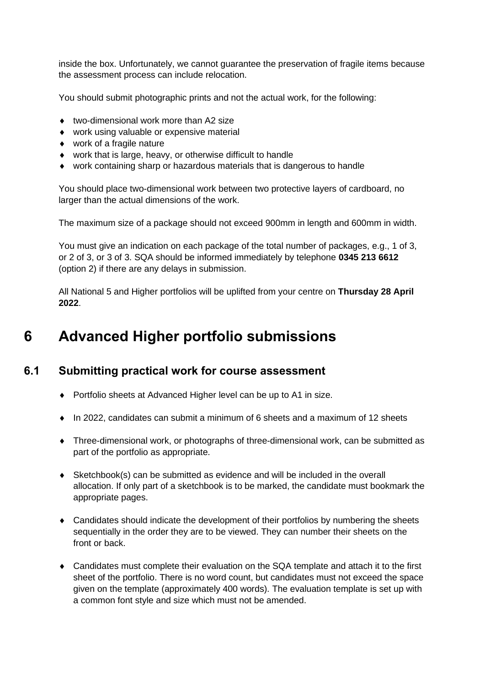inside the box. Unfortunately, we cannot guarantee the preservation of fragile items because the assessment process can include relocation.

You should submit photographic prints and not the actual work, for the following:

- ◆ two-dimensional work more than A2 size
- work using valuable or expensive material
- work of a fragile nature
- work that is large, heavy, or otherwise difficult to handle
- work containing sharp or hazardous materials that is dangerous to handle

You should place two-dimensional work between two protective layers of cardboard, no larger than the actual dimensions of the work.

The maximum size of a package should not exceed 900mm in length and 600mm in width.

You must give an indication on each package of the total number of packages, e.g., 1 of 3, or 2 of 3, or 3 of 3. SQA should be informed immediately by telephone **0345 213 6612** (option 2) if there are any delays in submission.

All National 5 and Higher portfolios will be uplifted from your centre on **Thursday 28 April 2022**.

### **6 Advanced Higher portfolio submissions**

#### **6.1 Submitting practical work for course assessment**

- Portfolio sheets at Advanced Higher level can be up to A1 in size.
- $\bullet$  In 2022, candidates can submit a minimum of 6 sheets and a maximum of 12 sheets
- Three-dimensional work, or photographs of three-dimensional work, can be submitted as part of the portfolio as appropriate.
- Sketchbook(s) can be submitted as evidence and will be included in the overall allocation. If only part of a sketchbook is to be marked, the candidate must bookmark the appropriate pages.
- Candidates should indicate the development of their portfolios by numbering the sheets sequentially in the order they are to be viewed. They can number their sheets on the front or back
- Candidates must complete their evaluation on the SQA template and attach it to the first sheet of the portfolio. There is no word count, but candidates must not exceed the space given on the template (approximately 400 words). The evaluation template is set up with a common font style and size which must not be amended.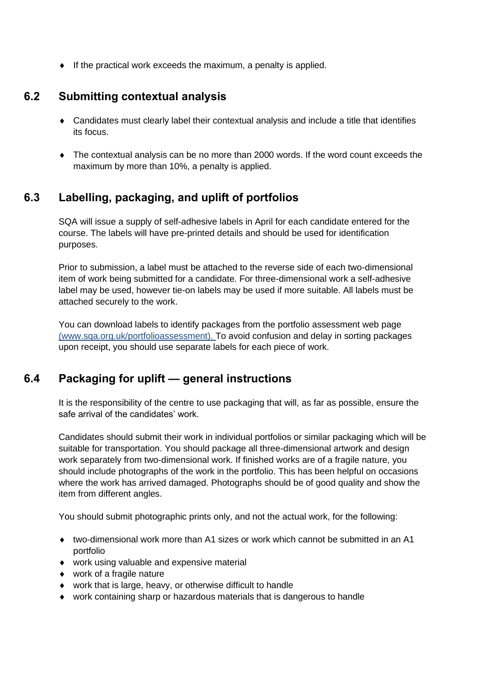$\bullet$  If the practical work exceeds the maximum, a penalty is applied.

#### **6.2 Submitting contextual analysis**

- Candidates must clearly label their contextual analysis and include a title that identifies its focus.
- The contextual analysis can be no more than 2000 words. If the word count exceeds the maximum by more than 10%, a penalty is applied.

#### **6.3 Labelling, packaging, and uplift of portfolios**

SQA will issue a supply of self-adhesive labels in April for each candidate entered for the course. The labels will have pre-printed details and should be used for identification purposes.

Prior to submission, a label must be attached to the reverse side of each two-dimensional item of work being submitted for a candidate. For three-dimensional work a self-adhesive label may be used, however tie-on labels may be used if more suitable. All labels must be attached securely to the work.

You can download labels to identify packages from the portfolio assessment web page [\(www.sqa.org.uk/portfolioassessment\).](http://www.sqa.org.uk/practicalassessment) To avoid confusion and delay in sorting packages upon receipt, you should use separate labels for each piece of work.

#### **6.4 Packaging for uplift — general instructions**

It is the responsibility of the centre to use packaging that will, as far as possible, ensure the safe arrival of the candidates' work.

Candidates should submit their work in individual portfolios or similar packaging which will be suitable for transportation. You should package all three-dimensional artwork and design work separately from two-dimensional work. If finished works are of a fragile nature, you should include photographs of the work in the portfolio. This has been helpful on occasions where the work has arrived damaged. Photographs should be of good quality and show the item from different angles.

You should submit photographic prints only, and not the actual work, for the following:

- $\bullet$  two-dimensional work more than A1 sizes or work which cannot be submitted in an A1 portfolio
- work using valuable and expensive material
- work of a fragile nature
- work that is large, heavy, or otherwise difficult to handle
- work containing sharp or hazardous materials that is dangerous to handle